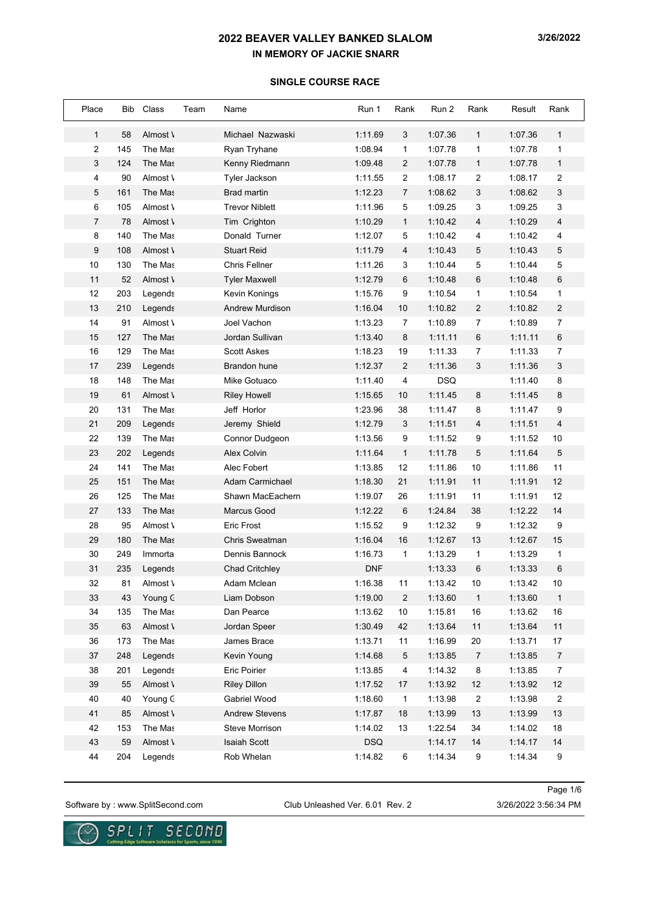#### **SINGLE COURSE RACE**

| Place        | Bib | Class    | Team | Name                   | Run 1      | Rank           | Run 2      | Rank           | Result  | Rank           |
|--------------|-----|----------|------|------------------------|------------|----------------|------------|----------------|---------|----------------|
| $\mathbf{1}$ | 58  | Almost \ |      | Michael Nazwaski       | 1:11.69    | 3              | 1:07.36    | $\mathbf{1}$   | 1:07.36 | $\mathbf{1}$   |
| 2            | 145 | The Mas  |      | Ryan Tryhane           | 1:08.94    | $\mathbf{1}$   | 1:07.78    | 1              | 1:07.78 | 1              |
| 3            | 124 | The Mas  |      | Kenny Riedmann         | 1:09.48    | $\overline{2}$ | 1:07.78    | $\mathbf{1}$   | 1:07.78 | $\mathbf{1}$   |
| 4            | 90  | Almost \ |      | Tyler Jackson          | 1:11.55    | 2              | 1:08.17    | 2              | 1:08.17 | 2              |
| 5            | 161 | The Mas  |      | <b>Brad martin</b>     | 1:12.23    | $\overline{7}$ | 1:08.62    | 3              | 1:08.62 | 3              |
| 6            | 105 | Almost \ |      | <b>Trevor Niblett</b>  | 1:11.96    | 5              | 1:09.25    | 3              | 1:09.25 | 3              |
| 7            | 78  | Almost \ |      | Tim Crighton           | 1:10.29    | $\mathbf{1}$   | 1:10.42    | 4              | 1:10.29 | $\overline{4}$ |
| 8            | 140 | The Mas  |      | Donald Turner          | 1:12.07    | 5              | 1:10.42    | 4              | 1:10.42 | 4              |
| 9            | 108 | Almost \ |      | <b>Stuart Reid</b>     | 1:11.79    | $\overline{4}$ | 1:10.43    | 5              | 1:10.43 | 5              |
| 10           | 130 | The Mas  |      | Chris Fellner          | 1:11.26    | 3              | 1:10.44    | 5              | 1:10.44 | 5              |
| 11           | 52  | Almost \ |      | <b>Tyler Maxwell</b>   | 1:12.79    | 6              | 1:10.48    | 6              | 1:10.48 | 6              |
| 12           | 203 | Legends  |      | Kevin Konings          | 1:15.76    | 9              | 1:10.54    | 1              | 1:10.54 | $\mathbf{1}$   |
| 13           | 210 | Legends  |      | <b>Andrew Murdison</b> | 1:16.04    | 10             | 1:10.82    | $\overline{c}$ | 1:10.82 | 2              |
| 14           | 91  | Almost \ |      | Joel Vachon            | 1:13.23    | 7              | 1:10.89    | 7              | 1:10.89 | $\overline{7}$ |
| 15           | 127 | The Mas  |      | Jordan Sullivan        | 1:13.40    | 8              | 1:11.11    | 6              | 1:11.11 | 6              |
| 16           | 129 | The Mas  |      | <b>Scott Askes</b>     | 1:18.23    | 19             | 1:11.33    | $\overline{7}$ | 1:11.33 | $\overline{7}$ |
| 17           | 239 | Legends  |      | <b>Brandon hune</b>    | 1:12.37    | $\overline{2}$ | 1:11.36    | 3              | 1:11.36 | 3              |
| 18           | 148 | The Mas  |      | Mike Gotuaco           | 1:11.40    | 4              | <b>DSQ</b> |                | 1:11.40 | 8              |
| 19           | 61  | Almost \ |      | <b>Riley Howell</b>    | 1:15.65    | 10             | 1:11.45    | 8              | 1:11.45 | 8              |
| 20           | 131 | The Mas  |      | Jeff Horlor            | 1:23.96    | 38             | 1:11.47    | 8              | 1:11.47 | 9              |
| 21           | 209 | Legends  |      | Jeremy Shield          | 1:12.79    | 3              | 1:11.51    | 4              | 1:11.51 | $\overline{4}$ |
| 22           | 139 | The Mas  |      | Connor Dudgeon         | 1:13.56    | 9              | 1:11.52    | 9              | 1:11.52 | $10$           |
| 23           | 202 | Legends  |      | Alex Colvin            | 1:11.64    | $\mathbf{1}$   | 1:11.78    | 5              | 1:11.64 | 5              |
| 24           | 141 | The Mas  |      | Alec Fobert            | 1:13.85    | 12             | 1:11.86    | 10             | 1:11.86 | 11             |
| 25           | 151 | The Mas  |      | <b>Adam Carmichael</b> | 1:18.30    | 21             | 1:11.91    | 11             | 1:11.91 | 12             |
| 26           | 125 | The Mas  |      | Shawn MacEachern       | 1:19.07    | 26             | 1:11.91    | 11             | 1:11.91 | 12             |
| 27           | 133 | The Mas  |      | Marcus Good            | 1:12.22    | 6              | 1:24.84    | 38             | 1:12.22 | 14             |
| 28           | 95  | Almost \ |      | <b>Eric Frost</b>      | 1:15.52    | 9              | 1:12.32    | 9              | 1:12.32 | 9              |
| 29           | 180 | The Mas  |      | <b>Chris Sweatman</b>  | 1:16.04    | 16             | 1:12.67    | 13             | 1:12.67 | 15             |
| 30           | 249 | Immorta  |      | Dennis Bannock         | 1:16.73    | $\mathbf{1}$   | 1:13.29    | $\mathbf{1}$   | 1:13.29 | $\mathbf{1}$   |
| 31           | 235 | Legends  |      | <b>Chad Critchley</b>  | <b>DNF</b> |                | 1:13.33    | 6              | 1:13.33 | 6              |
| 32           | 81  | Almost \ |      | Adam Mclean            | 1:16.38    | 11             | 1:13.42    | 10             | 1:13.42 | $10$           |
| 33           | 43  | Young C  |      | Liam Dobson            | 1:19.00    | 2              | 1:13.60    | $\mathbf{1}$   | 1:13.60 | $\mathbf{1}$   |
| 34           | 135 | The Mas  |      | Dan Pearce             | 1:13.62    | 10             | 1:15.81    | 16             | 1:13.62 | 16             |
| 35           | 63  | Almost \ |      | Jordan Speer           | 1:30.49    | 42             | 1:13.64    | 11             | 1:13.64 | $11$           |
| 36           | 173 | The Mas  |      | James Brace            | 1:13.71    | 11             | 1:16.99    | 20             | 1:13.71 | 17             |
| 37           | 248 | Legends  |      | Kevin Young            | 1:14.68    | 5              | 1:13.85    | 7              | 1:13.85 | $\overline{7}$ |
| 38           | 201 | Legends  |      | Eric Poirier           | 1:13.85    | 4              | 1:14.32    | 8              | 1:13.85 | $\overline{7}$ |
| 39           | 55  | Almost \ |      | <b>Riley Dillon</b>    | 1:17.52    | 17             | 1:13.92    | 12             | 1:13.92 | 12             |
| 40           | 40  | Young C  |      | Gabriel Wood           | 1:18.60    | $\mathbf{1}$   | 1:13.98    | $\overline{c}$ | 1:13.98 | $\overline{c}$ |
| 41           | 85  | Almost \ |      | <b>Andrew Stevens</b>  | 1:17.87    | 18             | 1:13.99    | 13             | 1:13.99 | 13             |
| 42           | 153 | The Mas  |      | Steve Morrison         | 1:14.02    | 13             | 1:22.54    | 34             | 1:14.02 | 18             |
| 43           | 59  | Almost \ |      | <b>Isaiah Scott</b>    | <b>DSQ</b> |                | 1:14.17    | 14             | 1:14.17 | 14             |
| 44           | 204 | Legends  |      | Rob Whelan             | 1:14.82    | 6              | 1:14.34    | 9              | 1:14.34 | 9              |

Software by : www.SplitSecond.com Club Unleashed Ver. 6.01 Rev. 2 3/26/2022 3:56:34 PM

Page 1/6

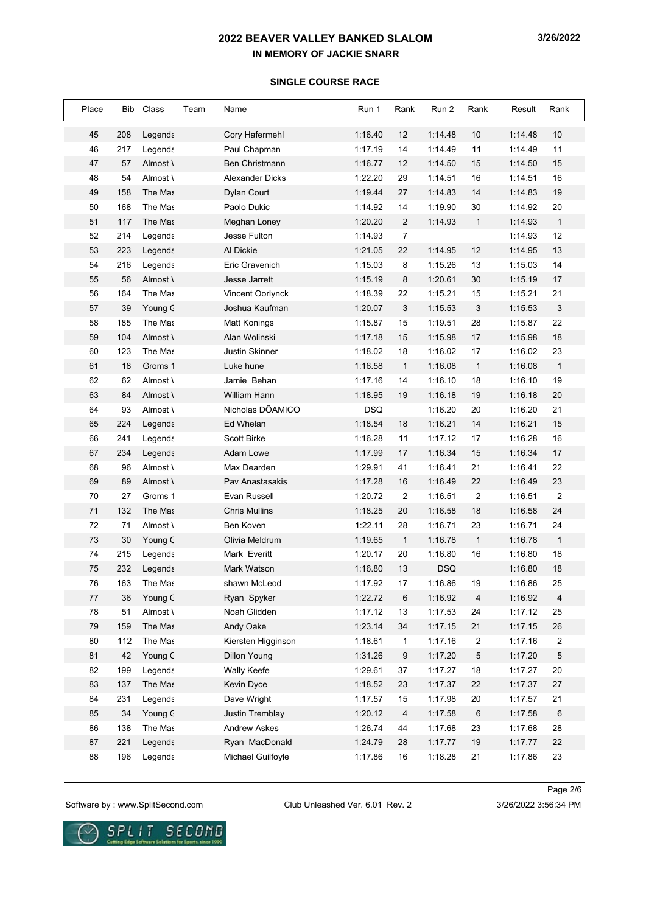#### **SINGLE COURSE RACE**

| Place | Bib | Class    | Team<br>Name         |                    | Run 1      | Rank           | Run 2      | Rank           | Result  | Rank           |
|-------|-----|----------|----------------------|--------------------|------------|----------------|------------|----------------|---------|----------------|
| 45    | 208 | Legends  |                      | Cory Hafermehl     | 1:16.40    | 12             | 1:14.48    | 10             | 1:14.48 | 10             |
| 46    | 217 | Legends  | Paul Chapman         |                    | 1:17.19    | 14             | 1:14.49    | 11             | 1:14.49 | 11             |
| 47    | 57  | Almost \ |                      | Ben Christmann     | 1:16.77    | 12             | 1:14.50    | 15             | 1:14.50 | 15             |
| 48    | 54  | Almost \ |                      | Alexander Dicks    | 1:22.20    | 29             | 1:14.51    | 16             | 1:14.51 | 16             |
| 49    | 158 | The Mas  | Dylan Court          |                    | 1:19.44    | 27             | 1:14.83    | 14             | 1:14.83 | 19             |
| 50    | 168 | The Mas  | Paolo Dukic          |                    | 1:14.92    | 14             | 1:19.90    | 30             | 1:14.92 | 20             |
| 51    | 117 | The Mas  | Meghan Loney         |                    | 1:20.20    | $\overline{2}$ | 1:14.93    | $\mathbf{1}$   | 1:14.93 | $\mathbf{1}$   |
| 52    | 214 | Legends  | Jesse Fulton         |                    | 1:14.93    | $\overline{7}$ |            |                | 1:14.93 | 12             |
| 53    | 223 | Legends  | Al Dickie            |                    | 1:21.05    | 22             | 1:14.95    | 12             | 1:14.95 | 13             |
| 54    | 216 | Legends  | Eric Gravenich       |                    | 1:15.03    | 8              | 1:15.26    | 13             | 1:15.03 | 14             |
| 55    | 56  | Almost \ | Jesse Jarrett        |                    | 1:15.19    | 8              | 1:20.61    | 30             | 1:15.19 | 17             |
| 56    | 164 | The Mas  |                      | Vincent Oorlynck   | 1:18.39    | 22             | 1:15.21    | 15             | 1:15.21 | 21             |
| 57    | 39  | Young C  |                      | Joshua Kaufman     | 1:20.07    | 3              | 1:15.53    | 3              | 1:15.53 | 3              |
| 58    | 185 | The Mas  | Matt Konings         |                    | 1:15.87    | 15             | 1:19.51    | 28             | 1:15.87 | 22             |
| 59    | 104 | Almost \ | Alan Wolinski        |                    | 1:17.18    | 15             | 1:15.98    | 17             | 1:15.98 | 18             |
| 60    | 123 | The Mas  | Justin Skinner       |                    | 1:18.02    | 18             | 1:16.02    | 17             | 1:16.02 | 23             |
| 61    | 18  | Groms 1  | Luke hune            |                    | 1:16.58    | $\mathbf{1}$   | 1:16.08    | $\mathbf{1}$   | 1:16.08 | $\mathbf{1}$   |
| 62    | 62  | Almost \ | Jamie Behan          |                    | 1:17.16    | 14             | 1:16.10    | 18             | 1:16.10 | 19             |
| 63    | 84  | Almost \ | <b>William Hann</b>  |                    | 1:18.95    | 19             | 1:16.18    | 19             | 1:16.18 | 20             |
| 64    | 93  | Almost \ |                      | Nicholas DÕAMICO   | <b>DSQ</b> |                | 1:16.20    | 20             | 1:16.20 | 21             |
| 65    | 224 | Legends  | Ed Whelan            |                    | 1:18.54    | 18             | 1:16.21    | 14             | 1:16.21 | 15             |
| 66    | 241 | Legends  | <b>Scott Birke</b>   |                    | 1:16.28    | 11             | 1:17.12    | 17             | 1:16.28 | 16             |
| 67    | 234 | Legends  | Adam Lowe            |                    | 1:17.99    | 17             | 1:16.34    | 15             | 1:16.34 | 17             |
| 68    | 96  | Almost \ | Max Dearden          |                    | 1:29.91    | 41             | 1:16.41    | 21             | 1:16.41 | 22             |
| 69    | 89  | Almost \ |                      | Pav Anastasakis    | 1:17.28    | 16             | 1:16.49    | 22             | 1:16.49 | 23             |
| 70    | 27  | Groms 1  | Evan Russell         |                    | 1:20.72    | $\overline{2}$ | 1:16.51    | $\overline{2}$ | 1:16.51 | $\sqrt{2}$     |
| 71    | 132 | The Mas  | <b>Chris Mullins</b> |                    | 1:18.25    | 20             | 1:16.58    | 18             | 1:16.58 | 24             |
| 72    | 71  | Almost \ | Ben Koven            |                    | 1:22.11    | 28             | 1:16.71    | 23             | 1:16.71 | 24             |
| 73    | 30  | Young C  | Olivia Meldrum       |                    | 1:19.65    | $\mathbf{1}$   | 1:16.78    | $\mathbf{1}$   | 1:16.78 | $\mathbf{1}$   |
| 74    | 215 | Legends  | Mark Everitt         |                    | 1:20.17    | 20             | 1:16.80    | 16             | 1:16.80 | 18             |
| 75    | 232 | Legends  | Mark Watson          |                    | 1:16.80    | 13             | <b>DSQ</b> |                | 1:16.80 | 18             |
| 76    | 163 | The Mas  | shawn McLeod         |                    | 1:17.92    | $17\,$         | 1:16.86    | 19             | 1:16.86 | 25             |
| 77    | 36  | Young C  | Ryan Spyker          |                    | 1:22.72    | 6              | 1:16.92    | 4              | 1:16.92 | $\overline{4}$ |
| 78    | 51  | Almost \ | Noah Glidden         |                    | 1:17.12    | 13             | 1:17.53    | 24             | 1:17.12 | 25             |
| 79    | 159 | The Mas  | Andy Oake            |                    | 1:23.14    | 34             | 1:17.15    | 21             | 1:17.15 | 26             |
| 80    | 112 | The Mas  |                      | Kiersten Higginson | 1:18.61    | 1              | 1:17.16    | 2              | 1:17.16 | 2              |
| 81    | 42  | Young C  | <b>Dillon Young</b>  |                    | 1:31.26    | 9              | 1:17.20    | 5              | 1:17.20 | 5              |
| 82    | 199 | Legends  | Wally Keefe          |                    | 1:29.61    | 37             | 1:17.27    | 18             | 1:17.27 | 20             |
| 83    | 137 | The Mas  | Kevin Dyce           |                    | 1:18.52    | 23             | 1:17.37    | 22             | 1:17.37 | 27             |
| 84    | 231 | Legends  | Dave Wright          |                    | 1:17.57    | 15             | 1:17.98    | 20             | 1:17.57 | 21             |
| 85    | 34  | Young C  |                      | Justin Tremblay    | 1:20.12    | 4              | 1:17.58    | 6              | 1:17.58 | $\,6$          |
| 86    | 138 | The Mas  | <b>Andrew Askes</b>  |                    | 1:26.74    | 44             | 1:17.68    | 23             | 1:17.68 | 28             |
| 87    | 221 | Legends  |                      | Ryan MacDonald     | 1:24.79    | 28             | 1:17.77    | 19             | 1:17.77 | 22             |
| 88    | 196 | Legends  |                      | Michael Guilfoyle  | 1:17.86    | 16             | 1:18.28    | 21             | 1:17.86 | 23             |

Software by : www.SplitSecond.com Club Unleashed Ver. 6.01 Rev. 2 3/26/2022 3:56:34 PM

Page 2/6

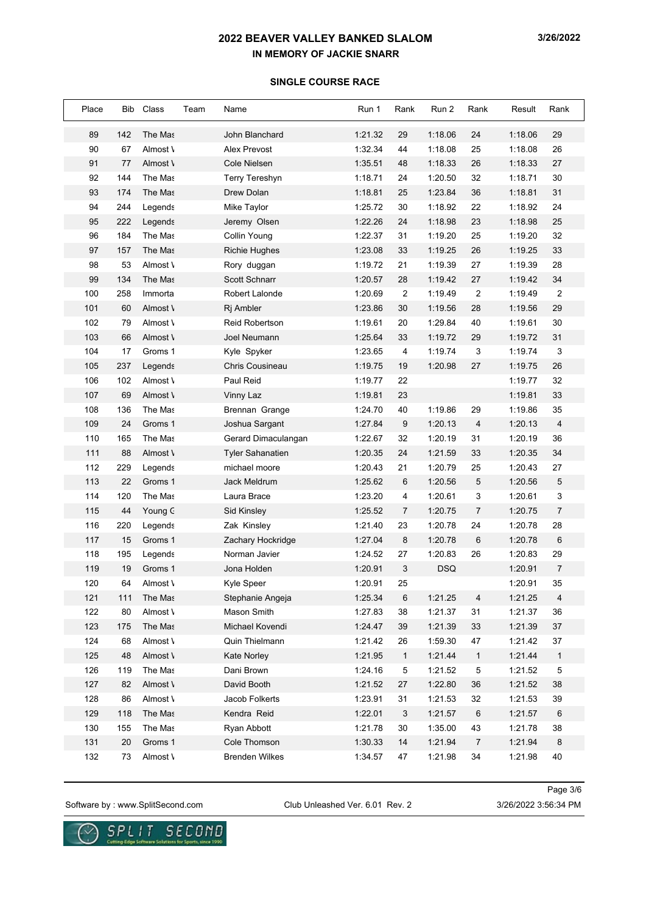## **SINGLE COURSE RACE**

| Place | Bib | Class    | Team | Name                    | Run 1   | Rank           | Run 2      | Rank           | Result  | Rank             |
|-------|-----|----------|------|-------------------------|---------|----------------|------------|----------------|---------|------------------|
| 89    | 142 | The Mas  |      | John Blanchard          | 1:21.32 | 29             | 1:18.06    | 24             | 1:18.06 | 29               |
| 90    | 67  | Almost \ |      | Alex Prevost            | 1:32.34 | 44             | 1:18.08    | 25             | 1:18.08 | 26               |
| 91    | 77  | Almost \ |      | <b>Cole Nielsen</b>     | 1:35.51 | 48             | 1:18.33    | 26             | 1:18.33 | 27               |
| 92    | 144 | The Mas  |      | Terry Tereshyn          | 1:18.71 | 24             | 1:20.50    | 32             | 1:18.71 | 30               |
| 93    | 174 | The Mas  |      | Drew Dolan              | 1:18.81 | 25             | 1:23.84    | 36             | 1:18.81 | 31               |
| 94    | 244 | Legends  |      | Mike Taylor             | 1:25.72 | 30             | 1:18.92    | 22             | 1:18.92 | 24               |
| 95    | 222 | Legends  |      | Jeremy Olsen            | 1:22.26 | 24             | 1:18.98    | 23             | 1:18.98 | 25               |
| 96    | 184 | The Mas  |      | Collin Young            | 1:22.37 | 31             | 1:19.20    | 25             | 1:19.20 | 32               |
| 97    | 157 | The Mas  |      | <b>Richie Hughes</b>    | 1:23.08 | 33             | 1:19.25    | 26             | 1:19.25 | 33               |
| 98    | 53  | Almost \ |      | Rory duggan             | 1:19.72 | 21             | 1:19.39    | 27             | 1:19.39 | 28               |
| 99    | 134 | The Mas  |      | Scott Schnarr           | 1:20.57 | 28             | 1:19.42    | 27             | 1:19.42 | 34               |
| 100   | 258 | Immorta  |      | Robert Lalonde          | 1:20.69 | $\sqrt{2}$     | 1:19.49    | $\overline{2}$ | 1:19.49 | $\boldsymbol{2}$ |
| 101   | 60  | Almost \ |      | Rj Ambler               | 1:23.86 | 30             | 1:19.56    | 28             | 1:19.56 | 29               |
| 102   | 79  | Almost \ |      | <b>Reid Robertson</b>   | 1:19.61 | 20             | 1:29.84    | 40             | 1:19.61 | 30               |
| 103   | 66  | Almost \ |      | Joel Neumann            | 1:25.64 | 33             | 1:19.72    | 29             | 1:19.72 | 31               |
| 104   | 17  | Groms 1  |      | Kyle Spyker             | 1:23.65 | 4              | 1:19.74    | 3              | 1:19.74 | 3                |
| 105   | 237 | Legends  |      | <b>Chris Cousineau</b>  | 1:19.75 | 19             | 1:20.98    | 27             | 1:19.75 | 26               |
| 106   | 102 | Almost \ |      | Paul Reid               | 1:19.77 | 22             |            |                | 1:19.77 | 32               |
| 107   | 69  | Almost \ |      | Vinny Laz               | 1:19.81 | 23             |            |                | 1:19.81 | 33               |
| 108   | 136 | The Mas  |      | Brennan Grange          | 1:24.70 | 40             | 1:19.86    | 29             | 1:19.86 | 35               |
| 109   | 24  | Groms 1  |      | Joshua Sargant          | 1:27.84 | 9              | 1:20.13    | 4              | 1:20.13 | $\overline{4}$   |
| 110   | 165 | The Mas  |      | Gerard Dimaculangan     | 1:22.67 | 32             | 1:20.19    | 31             | 1:20.19 | 36               |
| 111   | 88  | Almost \ |      | <b>Tyler Sahanatien</b> | 1:20.35 | 24             | 1:21.59    | 33             | 1:20.35 | 34               |
| 112   | 229 | Legends  |      | michael moore           | 1:20.43 | 21             | 1:20.79    | 25             | 1:20.43 | 27               |
| 113   | 22  | Groms 1  |      | Jack Meldrum            | 1:25.62 | 6              | 1:20.56    | 5              | 1:20.56 | 5                |
| 114   | 120 | The Mas  |      | Laura Brace             | 1:23.20 | 4              | 1:20.61    | 3              | 1:20.61 | 3                |
| 115   | 44  | Young C  |      | Sid Kinsley             | 1:25.52 | $\overline{7}$ | 1:20.75    | 7              | 1:20.75 | $\boldsymbol{7}$ |
| 116   | 220 | Legends  |      | Zak Kinsley             | 1:21.40 | 23             | 1:20.78    | 24             | 1:20.78 | 28               |
| 117   | 15  | Groms 1  |      | Zachary Hockridge       | 1:27.04 | 8              | 1:20.78    | 6              | 1:20.78 | 6                |
| 118   | 195 | Legends  |      | Norman Javier           | 1:24.52 | 27             | 1:20.83    | 26             | 1:20.83 | 29               |
| 119   | 19  | Groms 1  |      | Jona Holden             | 1:20.91 | 3              | <b>DSQ</b> |                | 1:20.91 | $\overline{7}$   |
| 120   | 64  | Almost \ |      | Kyle Speer              | 1:20.91 | 25             |            |                | 1:20.91 | 35               |
| 121   | 111 | The Mas  |      | Stephanie Angeja        | 1:25.34 | 6              | 1:21.25    | 4              | 1:21.25 | 4                |
| 122   | 80  | Almost \ |      | Mason Smith             | 1:27.83 | 38             | 1:21.37    | 31             | 1:21.37 | 36               |
| 123   | 175 | The Mas  |      | Michael Kovendi         | 1:24.47 | 39             | 1:21.39    | 33             | 1:21.39 | 37               |
| 124   | 68  | Almost \ |      | Quin Thielmann          | 1:21.42 | 26             | 1:59.30    | 47             | 1:21.42 | 37               |
| 125   | 48  | Almost \ |      | Kate Norley             | 1:21.95 | $\mathbf{1}$   | 1:21.44    | 1              | 1:21.44 | $\mathbf{1}$     |
| 126   | 119 | The Mas  |      | Dani Brown              | 1:24.16 | $\,$ 5 $\,$    | 1:21.52    | 5              | 1:21.52 | $\,$ 5 $\,$      |
| 127   | 82  | Almost \ |      | David Booth             | 1:21.52 | 27             | 1:22.80    | 36             | 1:21.52 | 38               |
| 128   | 86  | Almost \ |      | Jacob Folkerts          | 1:23.91 | 31             | 1:21.53    | 32             | 1:21.53 | 39               |
| 129   | 118 | The Mas  |      | Kendra Reid             | 1:22.01 | 3              | 1:21.57    | 6              | 1:21.57 | $\,6$            |
| 130   | 155 | The Mas  |      | Ryan Abbott             | 1:21.78 | 30             | 1:35.00    | 43             | 1:21.78 | 38               |
| 131   | 20  | Groms 1  |      | Cole Thomson            | 1:30.33 | 14             | 1:21.94    | $\overline{7}$ | 1:21.94 | $\bf 8$          |
| 132   | 73  | Almost \ |      | <b>Brenden Wilkes</b>   | 1:34.57 | 47             | 1:21.98    | 34             | 1:21.98 | 40               |

Software by : www.SplitSecond.com Club Unleashed Ver. 6.01 Rev. 2 3/26/2022 3:56:34 PM

Page 3/6

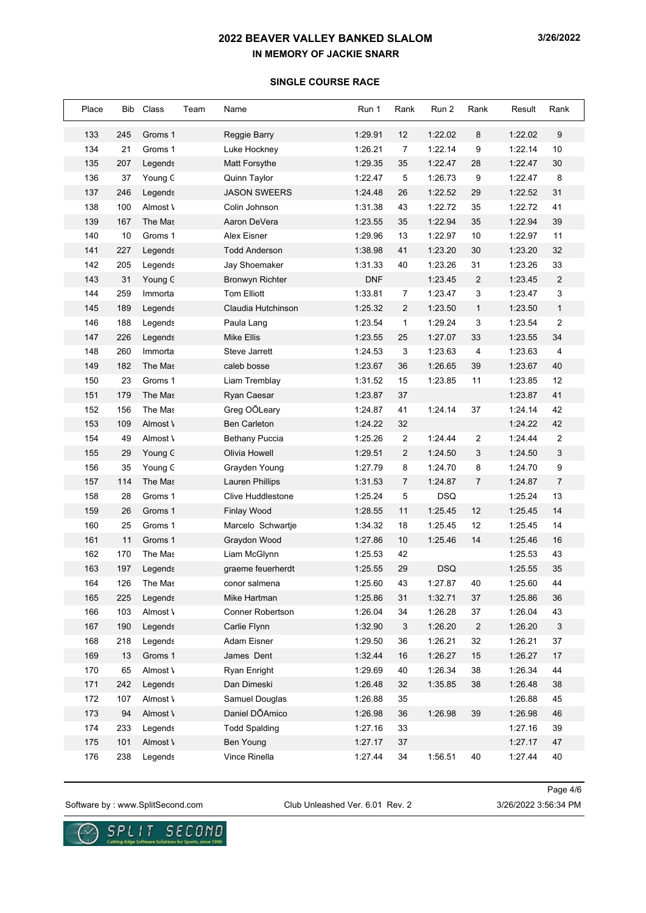# **SINGLE COURSE RACE**

| Place | Bib | Class    | Team | Name                     | Run 1      | Rank           | Run 2      | Rank           | Result  | Rank                      |
|-------|-----|----------|------|--------------------------|------------|----------------|------------|----------------|---------|---------------------------|
| 133   | 245 | Groms 1  |      | Reggie Barry             | 1:29.91    | 12             | 1:22.02    | 8              | 1:22.02 | 9                         |
| 134   | 21  | Groms 1  |      | Luke Hockney             | 1:26.21    | $\overline{7}$ | 1:22.14    | 9              | 1:22.14 | 10                        |
| 135   | 207 | Legends  |      | Matt Forsythe            | 1:29.35    | 35             | 1:22.47    | 28             | 1:22.47 | 30                        |
| 136   | 37  | Young C  |      | Quinn Taylor             | 1:22.47    | 5              | 1:26.73    | 9              | 1:22.47 | 8                         |
| 137   | 246 | Legends  |      | <b>JASON SWEERS</b>      | 1:24.48    | 26             | 1:22.52    | 29             | 1:22.52 | 31                        |
| 138   | 100 | Almost \ |      | Colin Johnson            | 1:31.38    | 43             | 1:22.72    | 35             | 1:22.72 | 41                        |
| 139   | 167 | The Mas  |      | Aaron DeVera             | 1:23.55    | 35             | 1:22.94    | 35             | 1:22.94 | 39                        |
| 140   | 10  | Groms 1  |      | Alex Eisner              | 1:29.96    | 13             | 1:22.97    | 10             | 1:22.97 | 11                        |
| 141   | 227 | Legends  |      | <b>Todd Anderson</b>     | 1:38.98    | 41             | 1:23.20    | 30             | 1:23.20 | 32                        |
| 142   | 205 | Legends  |      | Jay Shoemaker            | 1:31.33    | 40             | 1:23.26    | 31             | 1:23.26 | 33                        |
| 143   | 31  | Young C  |      | <b>Bronwyn Richter</b>   | <b>DNF</b> |                | 1:23.45    | 2              | 1:23.45 | $\overline{2}$            |
| 144   | 259 | Immorta  |      | <b>Tom Elliott</b>       | 1:33.81    | 7              | 1:23.47    | 3              | 1:23.47 | 3                         |
| 145   | 189 | Legends  |      | Claudia Hutchinson       | 1:25.32    | $\overline{2}$ | 1:23.50    | $\mathbf{1}$   | 1:23.50 | $\mathbf{1}$              |
| 146   | 188 | Legends  |      | Paula Lang               | 1:23.54    | $\mathbf{1}$   | 1:29.24    | 3              | 1:23.54 | $\overline{2}$            |
| 147   | 226 | Legends  |      | <b>Mike Ellis</b>        | 1:23.55    | 25             | 1:27.07    | 33             | 1:23.55 | 34                        |
| 148   | 260 | Immorta  |      | Steve Jarrett            | 1:24.53    | 3              | 1:23.63    | 4              | 1:23.63 | $\overline{4}$            |
| 149   | 182 | The Mas  |      | caleb bosse              | 1:23.67    | 36             | 1:26.65    | 39             | 1:23.67 | 40                        |
| 150   | 23  | Groms 1  |      | Liam Tremblay            | 1:31.52    | 15             | 1:23.85    | 11             | 1:23.85 | 12                        |
| 151   | 179 | The Mas  |      | Ryan Caesar              | 1:23.87    | 37             |            |                | 1:23.87 | 41                        |
| 152   | 156 | The Mas  |      | Greg OOLeary             | 1:24.87    | 41             | 1:24.14    | 37             | 1:24.14 | 42                        |
| 153   | 109 | Almost \ |      | <b>Ben Carleton</b>      | 1:24.22    | 32             |            |                | 1:24.22 | 42                        |
| 154   | 49  | Almost \ |      | <b>Bethany Puccia</b>    | 1:25.26    | 2              | 1:24.44    | 2              | 1:24.44 | $\overline{2}$            |
| 155   | 29  | Young C  |      | Olivia Howell            | 1:29.51    | $\overline{2}$ | 1:24.50    | 3              | 1:24.50 | $\ensuremath{\mathsf{3}}$ |
| 156   | 35  | Young C  |      | Grayden Young            | 1:27.79    | 8              | 1:24.70    | 8              | 1:24.70 | 9                         |
| 157   | 114 | The Mas  |      | <b>Lauren Phillips</b>   | 1:31.53    | $\overline{7}$ | 1:24.87    | $\overline{7}$ | 1:24.87 | $\overline{7}$            |
| 158   | 28  | Groms 1  |      | <b>Clive Huddlestone</b> | 1:25.24    | 5              | <b>DSQ</b> |                | 1:25.24 | 13                        |
| 159   | 26  | Groms 1  |      | <b>Finlay Wood</b>       | 1:28.55    | 11             | 1:25.45    | 12             | 1:25.45 | 14                        |
| 160   | 25  | Groms 1  |      | Marcelo Schwartje        | 1:34.32    | 18             | 1:25.45    | 12             | 1:25.45 | 14                        |
| 161   | 11  | Groms 1  |      | Graydon Wood             | 1:27.86    | 10             | 1:25.46    | 14             | 1:25.46 | 16                        |
| 162   | 170 | The Mas  |      | Liam McGlynn             | 1:25.53    | 42             |            |                | 1:25.53 | 43                        |
| 163   | 197 | Legends  |      | graeme feuerherdt        | 1:25.55    | 29             | <b>DSQ</b> |                | 1:25.55 | 35                        |
| 164   | 126 | The Mas  |      | conor saimena            | 1:25.60    | 43             | 1:27.87    | 40             | 1:25.60 | 44                        |
| 165   | 225 | Legends  |      | Mike Hartman             | 1:25.86    | 31             | 1:32.71    | 37             | 1:25.86 | 36                        |
| 166   | 103 | Almost \ |      | Conner Robertson         | 1:26.04    | 34             | 1:26.28    | 37             | 1:26.04 | 43                        |
| 167   | 190 | Legends  |      | Carlie Flynn             | 1:32.90    | 3              | 1:26.20    | 2              | 1:26.20 | $\ensuremath{\mathsf{3}}$ |
| 168   | 218 | Legends  |      | Adam Eisner              | 1:29.50    | 36             | 1:26.21    | 32             | 1:26.21 | 37                        |
| 169   | 13  | Groms 1  |      | James Dent               | 1:32.44    | 16             | 1:26.27    | 15             | 1:26.27 | 17                        |
| 170   | 65  | Almost \ |      | Ryan Enright             | 1:29.69    | 40             | 1:26.34    | 38             | 1:26.34 | 44                        |
| 171   | 242 | Legends  |      | Dan Dimeski              | 1:26.48    | 32             | 1:35.85    | 38             | 1:26.48 | 38                        |
| 172   | 107 | Almost \ |      | Samuel Douglas           | 1:26.88    | 35             |            |                | 1:26.88 | 45                        |
| 173   | 94  | Almost \ |      | Daniel DÕAmico           | 1:26.98    | 36             | 1:26.98    | 39             | 1:26.98 | 46                        |
| 174   | 233 | Legends  |      | <b>Todd Spalding</b>     | 1:27.16    | 33             |            |                | 1:27.16 | 39                        |
| 175   | 101 | Almost \ |      | <b>Ben Young</b>         | 1:27.17    | 37             |            |                | 1:27.17 | 47                        |
| 176   | 238 | Legends  |      | Vince Rinella            | 1:27.44    | 34             | 1:56.51    | 40             | 1:27.44 | 40                        |

Software by : www.SplitSecond.com Club Unleashed Ver. 6.01 Rev. 2 3/26/2022 3:56:34 PM

Page 4/6

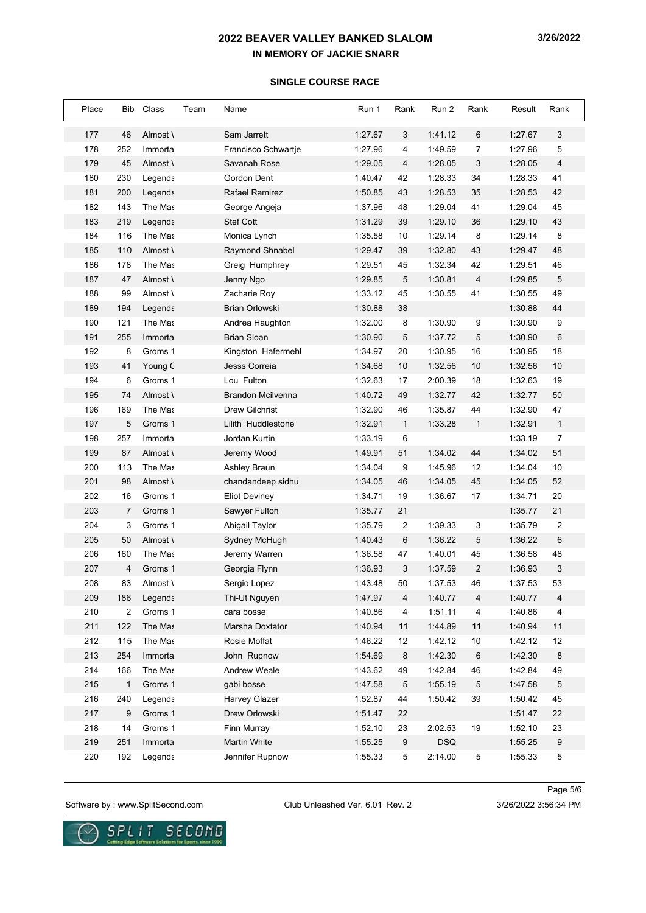#### **SINGLE COURSE RACE**

| Place | Bib            | Class    | Team | Name                     | Run 1   | Rank | Run 2      | Rank           | Result  | Rank                     |
|-------|----------------|----------|------|--------------------------|---------|------|------------|----------------|---------|--------------------------|
| 177   | 46             | Almost \ |      | Sam Jarrett              | 1:27.67 | 3    | 1:41.12    | 6              | 1:27.67 | 3                        |
| 178   | 252            | Immorta  |      | Francisco Schwartje      | 1:27.96 | 4    | 1:49.59    | 7              | 1:27.96 | 5                        |
| 179   | 45             | Almost \ |      | Savanah Rose             | 1:29.05 | 4    | 1:28.05    | 3              | 1:28.05 | $\overline{\mathcal{A}}$ |
| 180   | 230            | Legends  |      | Gordon Dent              | 1:40.47 | 42   | 1:28.33    | 34             | 1:28.33 | 41                       |
| 181   | 200            | Legends  |      | Rafael Ramirez           | 1:50.85 | 43   | 1:28.53    | 35             | 1:28.53 | 42                       |
| 182   | 143            | The Mas  |      | George Angeja            | 1:37.96 | 48   | 1:29.04    | 41             | 1:29.04 | 45                       |
| 183   | 219            | Legends  |      | Stef Cott                | 1:31.29 | 39   | 1:29.10    | 36             | 1:29.10 | 43                       |
| 184   | 116            | The Mas  |      | Monica Lynch             | 1:35.58 | 10   | 1:29.14    | 8              | 1:29.14 | $\bf 8$                  |
| 185   | 110            | Almost \ |      | Raymond Shnabel          | 1:29.47 | 39   | 1:32.80    | 43             | 1:29.47 | 48                       |
| 186   | 178            | The Mas  |      | Greig Humphrey           | 1:29.51 | 45   | 1:32.34    | 42             | 1:29.51 | 46                       |
| 187   | 47             | Almost \ |      | Jenny Ngo                | 1:29.85 | 5    | 1:30.81    | 4              | 1:29.85 | 5                        |
| 188   | 99             | Almost \ |      | Zacharie Roy             | 1:33.12 | 45   | 1:30.55    | 41             | 1:30.55 | 49                       |
| 189   | 194            | Legends  |      | <b>Brian Orlowski</b>    | 1:30.88 | 38   |            |                | 1:30.88 | 44                       |
| 190   | 121            | The Mas  |      | Andrea Haughton          | 1:32.00 | 8    | 1:30.90    | 9              | 1:30.90 | 9                        |
| 191   | 255            | Immorta  |      | <b>Brian Sloan</b>       | 1:30.90 | 5    | 1:37.72    | 5              | 1:30.90 | 6                        |
| 192   | 8              | Groms 1  |      | Kingston Hafermehl       | 1:34.97 | 20   | 1:30.95    | 16             | 1:30.95 | 18                       |
| 193   | 41             | Young C  |      | Jesss Correia            | 1:34.68 | 10   | 1:32.56    | 10             | 1:32.56 | 10                       |
| 194   | 6              | Groms 1  |      | Lou Fulton               | 1:32.63 | 17   | 2:00.39    | 18             | 1:32.63 | 19                       |
| 195   | 74             | Almost \ |      | <b>Brandon Mcilvenna</b> | 1:40.72 | 49   | 1:32.77    | 42             | 1:32.77 | 50                       |
| 196   | 169            | The Mas  |      | <b>Drew Gilchrist</b>    | 1:32.90 | 46   | 1:35.87    | 44             | 1:32.90 | 47                       |
| 197   | 5              | Groms 1  |      | Lilith Huddlestone       | 1:32.91 | 1    | 1:33.28    | $\mathbf{1}$   | 1:32.91 | $\mathbf{1}$             |
| 198   | 257            | Immorta  |      | Jordan Kurtin            | 1:33.19 | 6    |            |                | 1:33.19 | $\boldsymbol{7}$         |
| 199   | 87             | Almost \ |      | Jeremy Wood              | 1:49.91 | 51   | 1:34.02    | 44             | 1:34.02 | 51                       |
| 200   | 113            | The Mas  |      | Ashley Braun             | 1:34.04 | 9    | 1:45.96    | 12             | 1:34.04 | 10                       |
| 201   | 98             | Almost \ |      | chandandeep sidhu        | 1:34.05 | 46   | 1:34.05    | 45             | 1:34.05 | 52                       |
| 202   | 16             | Groms 1  |      | <b>Eliot Deviney</b>     | 1:34.71 | 19   | 1:36.67    | 17             | 1:34.71 | 20                       |
| 203   | 7              | Groms 1  |      | Sawyer Fulton            | 1:35.77 | 21   |            |                | 1:35.77 | 21                       |
| 204   | 3              | Groms 1  |      | Abigail Taylor           | 1:35.79 | 2    | 1:39.33    | 3              | 1:35.79 | 2                        |
| 205   | 50             | Almost \ |      | Sydney McHugh            | 1:40.43 | 6    | 1:36.22    | 5              | 1:36.22 | 6                        |
| 206   | 160            | The Mas  |      | Jeremy Warren            | 1:36.58 | 47   | 1:40.01    | 45             | 1:36.58 | 48                       |
| 207   | $\overline{4}$ | Groms 1  |      | Georgia Flynn            | 1:36.93 | 3    | 1:37.59    | $\overline{c}$ | 1:36.93 | 3                        |
| 208   | 83             | N Almost |      | Sergio Lopez             | 1:43.48 | 50   | 1:37.53    | 46             | 1:37.53 | 53                       |
| 209   | 186            | Legends  |      | Thi-Ut Nguyen            | 1:47.97 | 4    | 1:40.77    | 4              | 1:40.77 | 4                        |
| 210   | 2              | Groms 1  |      | cara bosse               | 1:40.86 | 4    | 1:51.11    | 4              | 1:40.86 | 4                        |
| 211   | 122            | The Mas  |      | Marsha Doxtator          | 1:40.94 | 11   | 1:44.89    | 11             | 1:40.94 | 11                       |
| 212   | 115            | The Mas  |      | Rosie Moffat             | 1:46.22 | 12   | 1:42.12    | 10             | 1:42.12 | 12                       |
| 213   | 254            | Immorta  |      | John Rupnow              | 1:54.69 | 8    | 1:42.30    | 6              | 1:42.30 | $\bf 8$                  |
| 214   | 166            | The Mas  |      | Andrew Weale             | 1:43.62 | 49   | 1:42.84    | 46             | 1:42.84 | 49                       |
| 215   | $\mathbf{1}$   | Groms 1  |      | gabi bosse               | 1:47.58 | 5    | 1:55.19    | 5              | 1:47.58 | 5                        |
| 216   | 240            | Legends  |      | <b>Harvey Glazer</b>     | 1:52.87 | 44   | 1:50.42    | 39             | 1:50.42 | 45                       |
| 217   | 9              | Groms 1  |      | Drew Orlowski            | 1:51.47 | 22   |            |                | 1:51.47 | 22                       |
| 218   | 14             | Groms 1  |      | Finn Murray              | 1:52.10 | 23   | 2:02.53    | 19             | 1:52.10 | 23                       |
| 219   | 251            | Immorta  |      | <b>Martin White</b>      | 1:55.25 | 9    | <b>DSQ</b> |                | 1:55.25 | 9                        |
| 220   | 192            | Legends  |      | Jennifer Rupnow          | 1:55.33 | 5    | 2:14.00    | 5              | 1:55.33 | 5                        |

Software by : www.SplitSecond.com Club Unleashed Ver. 6.01 Rev. 2 3/26/2022 3:56:34 PM

Page 5/6